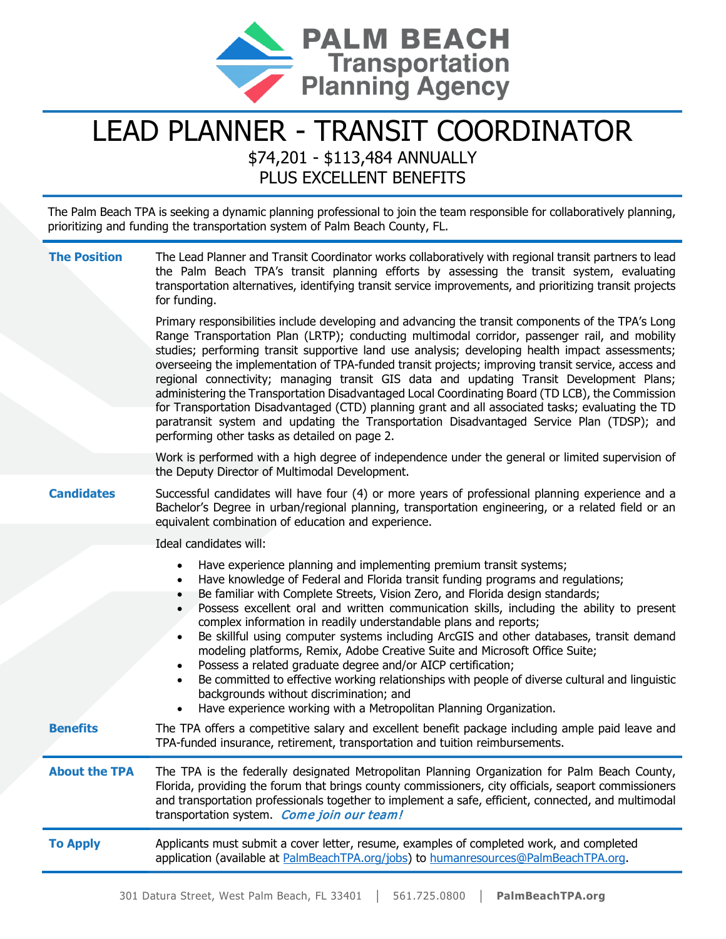

## LEAD PLANNER - TRANSIT COORDINATOR \$74,201 - \$113,484 ANNUALLY

PLUS EXCELLENT BENEFITS

The Palm Beach TPA is seeking a dynamic planning professional to join the team responsible for collaboratively planning, prioritizing and funding the transportation system of Palm Beach County, FL.

| <b>The Position</b>  | The Lead Planner and Transit Coordinator works collaboratively with regional transit partners to lead<br>the Palm Beach TPA's transit planning efforts by assessing the transit system, evaluating<br>transportation alternatives, identifying transit service improvements, and prioritizing transit projects<br>for funding.                                                                                                                                                                                                                                                                                                                                                                                                                                                                                                                                       |
|----------------------|----------------------------------------------------------------------------------------------------------------------------------------------------------------------------------------------------------------------------------------------------------------------------------------------------------------------------------------------------------------------------------------------------------------------------------------------------------------------------------------------------------------------------------------------------------------------------------------------------------------------------------------------------------------------------------------------------------------------------------------------------------------------------------------------------------------------------------------------------------------------|
|                      | Primary responsibilities include developing and advancing the transit components of the TPA's Long<br>Range Transportation Plan (LRTP); conducting multimodal corridor, passenger rail, and mobility<br>studies; performing transit supportive land use analysis; developing health impact assessments;<br>overseeing the implementation of TPA-funded transit projects; improving transit service, access and<br>regional connectivity; managing transit GIS data and updating Transit Development Plans;<br>administering the Transportation Disadvantaged Local Coordinating Board (TD LCB), the Commission<br>for Transportation Disadvantaged (CTD) planning grant and all associated tasks; evaluating the TD<br>paratransit system and updating the Transportation Disadvantaged Service Plan (TDSP); and<br>performing other tasks as detailed on page 2.    |
|                      | Work is performed with a high degree of independence under the general or limited supervision of<br>the Deputy Director of Multimodal Development.                                                                                                                                                                                                                                                                                                                                                                                                                                                                                                                                                                                                                                                                                                                   |
| <b>Candidates</b>    | Successful candidates will have four (4) or more years of professional planning experience and a<br>Bachelor's Degree in urban/regional planning, transportation engineering, or a related field or an<br>equivalent combination of education and experience.                                                                                                                                                                                                                                                                                                                                                                                                                                                                                                                                                                                                        |
|                      | Ideal candidates will:                                                                                                                                                                                                                                                                                                                                                                                                                                                                                                                                                                                                                                                                                                                                                                                                                                               |
|                      | Have experience planning and implementing premium transit systems;<br>Have knowledge of Federal and Florida transit funding programs and regulations;<br>Be familiar with Complete Streets, Vision Zero, and Florida design standards;<br>Possess excellent oral and written communication skills, including the ability to present<br>complex information in readily understandable plans and reports;<br>Be skillful using computer systems including ArcGIS and other databases, transit demand<br>modeling platforms, Remix, Adobe Creative Suite and Microsoft Office Suite;<br>Possess a related graduate degree and/or AICP certification;<br>Be committed to effective working relationships with people of diverse cultural and linguistic<br>backgrounds without discrimination; and<br>Have experience working with a Metropolitan Planning Organization. |
| <b>Benefits</b>      | The TPA offers a competitive salary and excellent benefit package including ample paid leave and<br>TPA-funded insurance, retirement, transportation and tuition reimbursements.                                                                                                                                                                                                                                                                                                                                                                                                                                                                                                                                                                                                                                                                                     |
| <b>About the TPA</b> | The TPA is the federally designated Metropolitan Planning Organization for Palm Beach County,<br>Florida, providing the forum that brings county commissioners, city officials, seaport commissioners<br>and transportation professionals together to implement a safe, efficient, connected, and multimodal<br>transportation system. Come join our team!                                                                                                                                                                                                                                                                                                                                                                                                                                                                                                           |
| <b>To Apply</b>      | Applicants must submit a cover letter, resume, examples of completed work, and completed<br>application (available at PalmBeachTPA.org/jobs) to humanresources@PalmBeachTPA.org.                                                                                                                                                                                                                                                                                                                                                                                                                                                                                                                                                                                                                                                                                     |